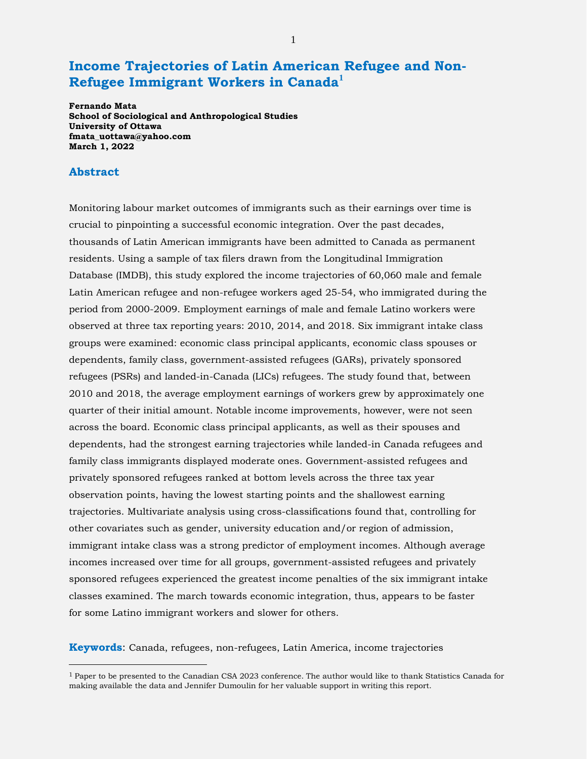# **Income Trajectories of Latin American Refugee and Non-Refugee Immigrant Workers in Canada[1](#page-0-0)**

**Fernando Mata School of Sociological and Anthropological Studies University of Ottawa fmata\_uottawa@yahoo.com March 1, 2022**

### **Abstract**

Monitoring labour market outcomes of immigrants such as their earnings over time is crucial to pinpointing a successful economic integration. Over the past decades, thousands of Latin American immigrants have been admitted to Canada as permanent residents. Using a sample of tax filers drawn from the Longitudinal Immigration Database (IMDB), this study explored the income trajectories of 60,060 male and female Latin American refugee and non-refugee workers aged 25-54, who immigrated during the period from 2000-2009. Employment earnings of male and female Latino workers were observed at three tax reporting years: 2010, 2014, and 2018. Six immigrant intake class groups were examined: economic class principal applicants, economic class spouses or dependents, family class, government-assisted refugees (GARs), privately sponsored refugees (PSRs) and landed-in-Canada (LICs) refugees. The study found that, between 2010 and 2018, the average employment earnings of workers grew by approximately one quarter of their initial amount. Notable income improvements, however, were not seen across the board. Economic class principal applicants, as well as their spouses and dependents, had the strongest earning trajectories while landed-in Canada refugees and family class immigrants displayed moderate ones. Government-assisted refugees and privately sponsored refugees ranked at bottom levels across the three tax year observation points, having the lowest starting points and the shallowest earning trajectories. Multivariate analysis using cross-classifications found that, controlling for other covariates such as gender, university education and/or region of admission, immigrant intake class was a strong predictor of employment incomes. Although average incomes increased over time for all groups, government-assisted refugees and privately sponsored refugees experienced the greatest income penalties of the six immigrant intake classes examined. The march towards economic integration, thus, appears to be faster for some Latino immigrant workers and slower for others.

**Keywords**: Canada, refugees, non-refugees, Latin America, income trajectories

<span id="page-0-0"></span> $1$  Paper to be presented to the Canadian CSA 2023 conference. The author would like to thank Statistics Canada for making available the data and Jennifer Dumoulin for her valuable support in writing this report.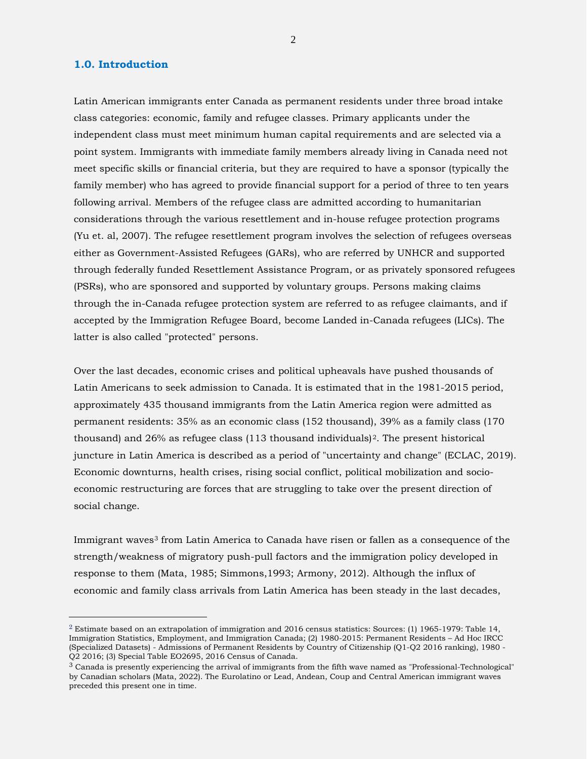### **1.0. Introduction**

 $\overline{a}$ 

Latin American immigrants enter Canada as permanent residents under three broad intake class categories: economic, family and refugee classes. Primary applicants under the independent class must meet minimum human capital requirements and are selected via a point system. Immigrants with immediate family members already living in Canada need not meet specific skills or financial criteria, but they are required to have a sponsor (typically the family member) who has agreed to provide financial support for a period of three to ten years following arrival. Members of the refugee class are admitted according to humanitarian considerations through the various resettlement and in-house refugee protection programs (Yu et. al, 2007). The refugee resettlement program involves the selection of refugees overseas either as Government-Assisted Refugees (GARs), who are referred by UNHCR and supported through federally funded Resettlement Assistance Program, or as privately sponsored refugees (PSRs), who are sponsored and supported by voluntary groups. Persons making claims through the in-Canada refugee protection system are referred to as refugee claimants, and if accepted by the Immigration Refugee Board, become Landed in-Canada refugees (LICs). The latter is also called "protected" persons.

Over the last decades, economic crises and political upheavals have pushed thousands of Latin Americans to seek admission to Canada. It is estimated that in the 1981-2015 period, approximately 435 thousand immigrants from the Latin America region were admitted as permanent residents: 35% as an economic class (152 thousand), 39% as a family class (170 thousand) and 26% as refugee class  $(113$  thousand individuals)<sup>2</sup>. The present historical juncture in Latin America is described as a period of "uncertainty and change" (ECLAC, 2019). Economic downturns, health crises, rising social conflict, political mobilization and socioeconomic restructuring are forces that are struggling to take over the present direction of social change.

Immigrant waves<sup>[3](#page-1-1)</sup> from Latin America to Canada have risen or fallen as a consequence of the strength/weakness of migratory push-pull factors and the immigration policy developed in response to them (Mata, 1985; Simmons,1993; Armony, 2012). Although the influx of economic and family class arrivals from Latin America has been steady in the last decades,

<span id="page-1-0"></span><sup>&</sup>lt;sup>2</sup> Estimate based on an extrapolation of immigration and 2016 census statistics: Sources: (1) 1965-1979: Table 14, Immigration Statistics, Employment, and Immigration Canada; (2) 1980-2015: Permanent Residents – Ad Hoc IRCC (Specialized Datasets) - Admissions of Permanent Residents by Country of Citizenship (Q1-Q2 2016 ranking), 1980 - Q2 2016; (3) Special Table EO2695, 2016 Census of Canada.

<span id="page-1-1"></span><sup>3</sup> Canada is presently experiencing the arrival of immigrants from the fifth wave named as "Professional-Technological" by Canadian scholars (Mata, 2022). The Eurolatino or Lead, Andean, Coup and Central American immigrant waves preceded this present one in time.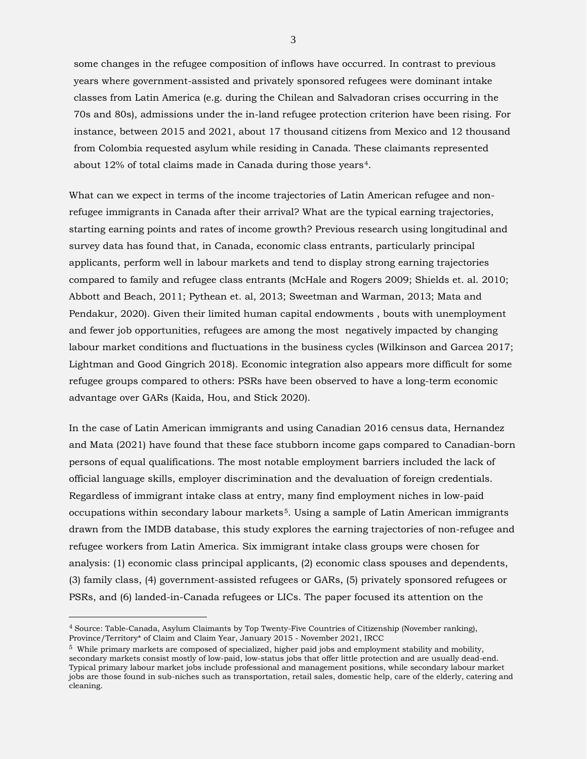some changes in the refugee composition of inflows have occurred. In contrast to previous years where government-assisted and privately sponsored refugees were dominant intake classes from Latin America (e.g. during the Chilean and Salvadoran crises occurring in the 70s and 80s), admissions under the in-land refugee protection criterion have been rising. For instance, between 2015 and 2021, about 17 thousand citizens from Mexico and 12 thousand from Colombia requested asylum while residing in Canada. These claimants represented about 12% of total claims made in Canada during those years[4](#page-2-0).

What can we expect in terms of the income trajectories of Latin American refugee and nonrefugee immigrants in Canada after their arrival? What are the typical earning trajectories, starting earning points and rates of income growth? Previous research using longitudinal and survey data has found that, in Canada, economic class entrants, particularly principal applicants, perform well in labour markets and tend to display strong earning trajectories compared to family and refugee class entrants (McHale and Rogers 2009; Shields et. al. 2010; Abbott and Beach, 2011; Pythean et. al, 2013; Sweetman and Warman, 2013; Mata and Pendakur, 2020). Given their limited human capital endowments , bouts with unemployment and fewer job opportunities, refugees are among the most negatively impacted by changing labour market conditions and fluctuations in the business cycles (Wilkinson and Garcea 2017; Lightman and Good Gingrich 2018). Economic integration also appears more difficult for some refugee groups compared to others: PSRs have been observed to have a long-term economic advantage over GARs (Kaida, Hou, and Stick 2020).

In the case of Latin American immigrants and using Canadian 2016 census data, Hernandez and Mata (2021) have found that these face stubborn income gaps compared to Canadian-born persons of equal qualifications. The most notable employment barriers included the lack of official language skills, employer discrimination and the devaluation of foreign credentials. Regardless of immigrant intake class at entry, many find employment niches in low-paid occupations within secondary labour markets<sup>5</sup>. Using a sample of Latin American immigrants drawn from the IMDB database, this study explores the earning trajectories of non-refugee and refugee workers from Latin America. Six immigrant intake class groups were chosen for analysis: (1) economic class principal applicants, (2) economic class spouses and dependents, (3) family class, (4) government-assisted refugees or GARs, (5) privately sponsored refugees or PSRs, and (6) landed-in-Canada refugees or LICs. The paper focused its attention on the

 $\overline{a}$ 

<span id="page-2-0"></span><sup>4</sup> Source: Table-Canada, Asylum Claimants by Top Twenty-Five Countries of Citizenship (November ranking), Province/Territory\* of Claim and Claim Year, January 2015 - November 2021, IRCC

<span id="page-2-1"></span><sup>5</sup> While primary markets are composed of specialized, higher paid jobs and employment stability and mobility, secondary markets consist mostly of low-paid, low-status jobs that offer little protection and are usually dead-end. Typical primary labour market jobs include professional and management positions, while secondary labour market jobs are those found in sub-niches such as transportation, retail sales, domestic help, care of the elderly, catering and cleaning.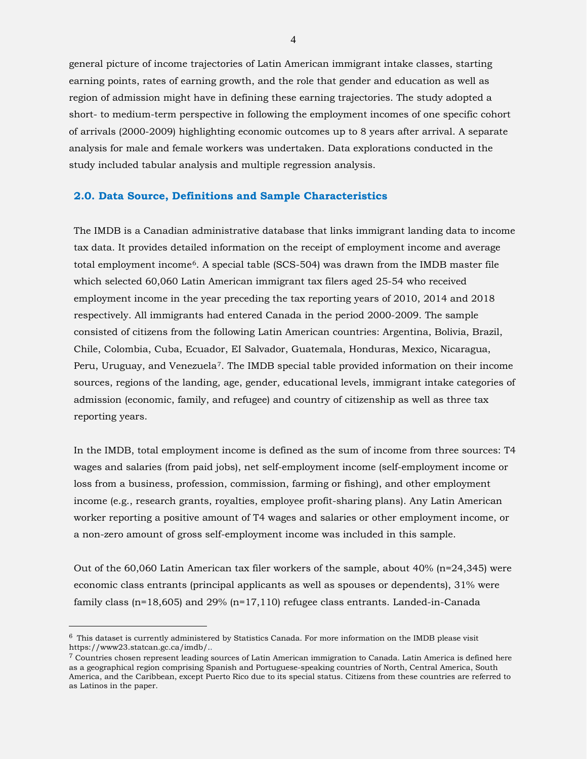general picture of income trajectories of Latin American immigrant intake classes, starting earning points, rates of earning growth, and the role that gender and education as well as region of admission might have in defining these earning trajectories. The study adopted a short- to medium-term perspective in following the employment incomes of one specific cohort of arrivals (2000-2009) highlighting economic outcomes up to 8 years after arrival. A separate analysis for male and female workers was undertaken. Data explorations conducted in the study included tabular analysis and multiple regression analysis.

#### **2.0. Data Source, Definitions and Sample Characteristics**

The IMDB is a Canadian administrative database that links immigrant landing data to income tax data. It provides detailed information on the receipt of employment income and average total employment income[6.](#page-3-0) A special table (SCS-504) was drawn from the IMDB master file which selected 60,060 Latin American immigrant tax filers aged 25-54 who received employment income in the year preceding the tax reporting years of 2010, 2014 and 2018 respectively. All immigrants had entered Canada in the period 2000-2009. The sample consisted of citizens from the following Latin American countries: Argentina, Bolivia, Brazil, Chile, Colombia, Cuba, Ecuador, EI Salvador, Guatemala, Honduras, Mexico, Nicaragua, Peru, Uruguay, and Venezuela<sup>7</sup>. The IMDB special table provided information on their income sources, regions of the landing, age, gender, educational levels, immigrant intake categories of admission (economic, family, and refugee) and country of citizenship as well as three tax reporting years.

In the IMDB, total employment income is defined as the sum of income from three sources: T4 wages and salaries (from paid jobs), net self-employment income (self-employment income or loss from a business, profession, commission, farming or fishing), and other employment income (e.g., research grants, royalties, employee profit-sharing plans). Any Latin American worker reporting a positive amount of T4 wages and salaries or other employment income, or a non-zero amount of gross self-employment income was included in this sample.

Out of the 60,060 Latin American tax filer workers of the sample, about 40% (n=24,345) were economic class entrants (principal applicants as well as spouses or dependents), 31% were family class (n=18,605) and 29% (n=17,110) refugee class entrants. Landed-in-Canada

 $\overline{a}$ 

<span id="page-3-0"></span> $6$  This dataset is currently administered by Statistics Canada. For more information on the IMDB please visit https://www23.statcan.gc.ca/imdb/..

<span id="page-3-1"></span><sup>7</sup> Countries chosen represent leading sources of Latin American immigration to Canada. Latin America is defined here as a geographical region comprising Spanish and Portuguese-speaking countries of North, Central America, South America, and the Caribbean, except Puerto Rico due to its special status. Citizens from these countries are referred to as Latinos in the paper.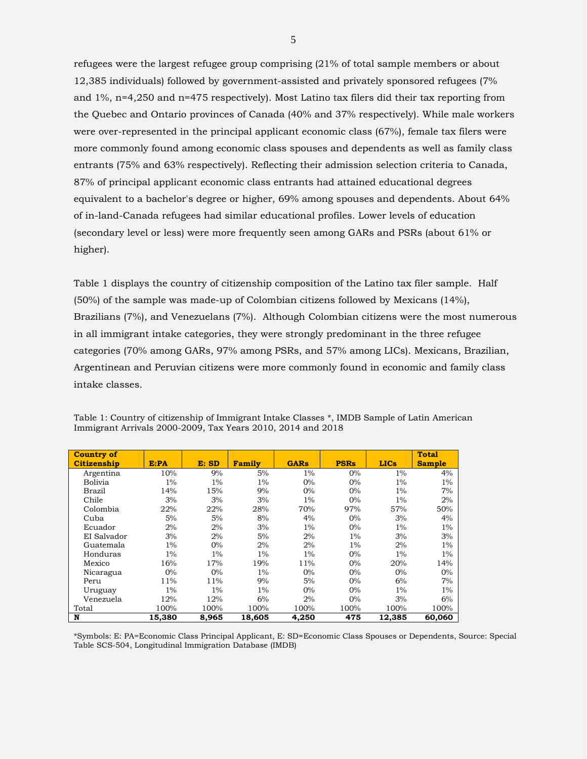refugees were the largest refugee group comprising (21% of total sample members or about 12,385 individuals) followed by government-assisted and privately sponsored refugees (7% and 1%, n=4,250 and n=475 respectively). Most Latino tax filers did their tax reporting from the Quebec and Ontario provinces of Canada (40% and 37% respectively). While male workers were over-represented in the principal applicant economic class (67%), female tax filers were more commonly found among economic class spouses and dependents as well as family class entrants (75% and 63% respectively). Reflecting their admission selection criteria to Canada, 87% of principal applicant economic class entrants had attained educational degrees equivalent to a bachelor's degree or higher, 69% among spouses and dependents. About 64% of in-land-Canada refugees had similar educational profiles. Lower levels of education (secondary level or less) were more frequently seen among GARs and PSRs (about 61% or higher).

Table 1 displays the country of citizenship composition of the Latino tax filer sample. Half (50%) of the sample was made-up of Colombian citizens followed by Mexicans (14%), Brazilians (7%), and Venezuelans (7%). Although Colombian citizens were the most numerous in all immigrant intake categories, they were strongly predominant in the three refugee categories (70% among GARs, 97% among PSRs, and 57% among LICs). Mexicans, Brazilian, Argentinean and Peruvian citizens were more commonly found in economic and family class intake classes.

| <b>Country of</b> |        |       |               |             |             |             | Total         |
|-------------------|--------|-------|---------------|-------------|-------------|-------------|---------------|
| Citizenship       | E:PA   | E: SD | <b>Family</b> | <b>GARs</b> | <b>PSRs</b> | <b>LICs</b> | <b>Sample</b> |
| Argentina         | 10%    | 9%    | 5%            | $1\%$       | $0\%$       | $1\%$       | 4%            |
| Bolivia           | $1\%$  | $1\%$ | $1\%$         | $0\%$       | $0\%$       | $1\%$       | $1\%$         |
| Brazil            | 14%    | 15%   | 9%            | $0\%$       | $0\%$       | $1\%$       | 7%            |
| Chile             | 3%     | 3%    | 3%            | $1\%$       | $0\%$       | $1\%$       | 2%            |
| Colombia          | 22%    | 22%   | 28%           | 70%         | 97%         | 57%         | 50%           |
| Cuba              | 5%     | 5%    | 8%            | 4%          | $0\%$       | 3%          | 4%            |
| Ecuador           | 2%     | 2%    | 3%            | $1\%$       | $0\%$       | $1\%$       | $1\%$         |
| EI Salvador       | 3%     | 2%    | 5%            | 2%          | $1\%$       | 3%          | 3%            |
| Guatemala         | $1\%$  | $0\%$ | 2%            | 2%          | $1\%$       | 2%          | $1\%$         |
| Honduras          | $1\%$  | $1\%$ | $1\%$         | $1\%$       | $0\%$       | $1\%$       | $1\%$         |
| Mexico            | 16%    | 17%   | 19%           | 11%         | $0\%$       | 20%         | 14%           |
| Nicaragua         | $0\%$  | $0\%$ | $1\%$         | 0%          | $0\%$       | $0\%$       | $0\%$         |
| Peru              | 11%    | 11%   | 9%            | 5%          | $0\%$       | 6%          | 7%            |
| Uruguay           | $1\%$  | $1\%$ | $1\%$         | 0%          | $0\%$       | $1\%$       | $1\%$         |
| Venezuela         | 12%    | 12%   | 6%            | 2%          | $0\%$       | 3%          | 6%            |
| Total             | 100%   | 100%  | 100%          | 100%        | 100%        | 100%        | 100%          |
| N                 | 15,380 | 8,965 | 18,605        | 4,250       | 475         | 12,385      | 60,060        |

Table 1: Country of citizenship of Immigrant Intake Classes \*, IMDB Sample of Latin American Immigrant Arrivals 2000-2009, Tax Years 2010, 2014 and 2018

\*Symbols: E: PA=Economic Class Principal Applicant, E: SD=Economic Class Spouses or Dependents, Source: Special Table SCS-504, Longitudinal Immigration Database (IMDB)

5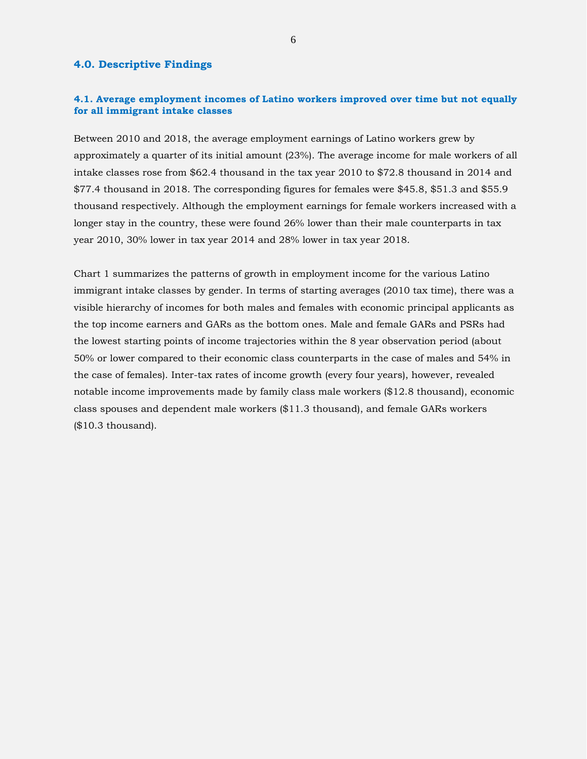### **4.0. Descriptive Findings**

#### **4.1. Average employment incomes of Latino workers improved over time but not equally for all immigrant intake classes**

Between 2010 and 2018, the average employment earnings of Latino workers grew by approximately a quarter of its initial amount (23%). The average income for male workers of all intake classes rose from \$62.4 thousand in the tax year 2010 to \$72.8 thousand in 2014 and \$77.4 thousand in 2018. The corresponding figures for females were \$45.8, \$51.3 and \$55.9 thousand respectively. Although the employment earnings for female workers increased with a longer stay in the country, these were found 26% lower than their male counterparts in tax year 2010, 30% lower in tax year 2014 and 28% lower in tax year 2018.

Chart 1 summarizes the patterns of growth in employment income for the various Latino immigrant intake classes by gender. In terms of starting averages (2010 tax time), there was a visible hierarchy of incomes for both males and females with economic principal applicants as the top income earners and GARs as the bottom ones. Male and female GARs and PSRs had the lowest starting points of income trajectories within the 8 year observation period (about 50% or lower compared to their economic class counterparts in the case of males and 54% in the case of females). Inter-tax rates of income growth (every four years), however, revealed notable income improvements made by family class male workers (\$12.8 thousand), economic class spouses and dependent male workers (\$11.3 thousand), and female GARs workers (\$10.3 thousand).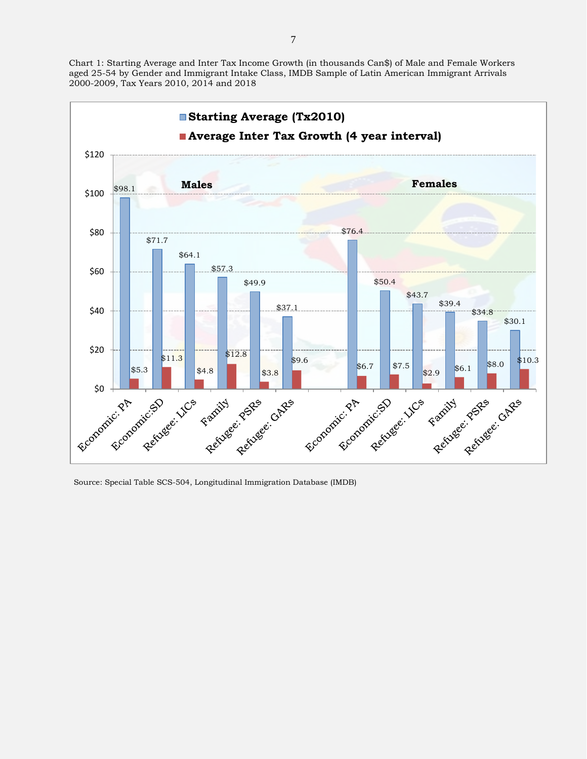Chart 1: Starting Average and Inter Tax Income Growth (in thousands Can\$) of Male and Female Workers aged 25-54 by Gender and Immigrant Intake Class, IMDB Sample of Latin American Immigrant Arrivals 2000-2009, Tax Years 2010, 2014 and 2018



Source: Special Table SCS-504, Longitudinal Immigration Database (IMDB)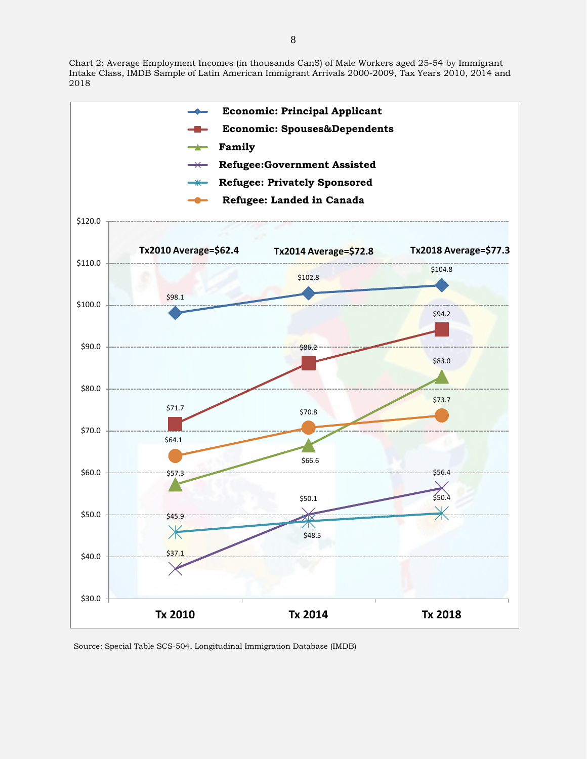Chart 2: Average Employment Incomes (in thousands Can\$) of Male Workers aged 25-54 by Immigrant Intake Class, IMDB Sample of Latin American Immigrant Arrivals 2000-2009, Tax Years 2010, 2014 and 2018



Source: Special Table SCS-504, Longitudinal Immigration Database (IMDB)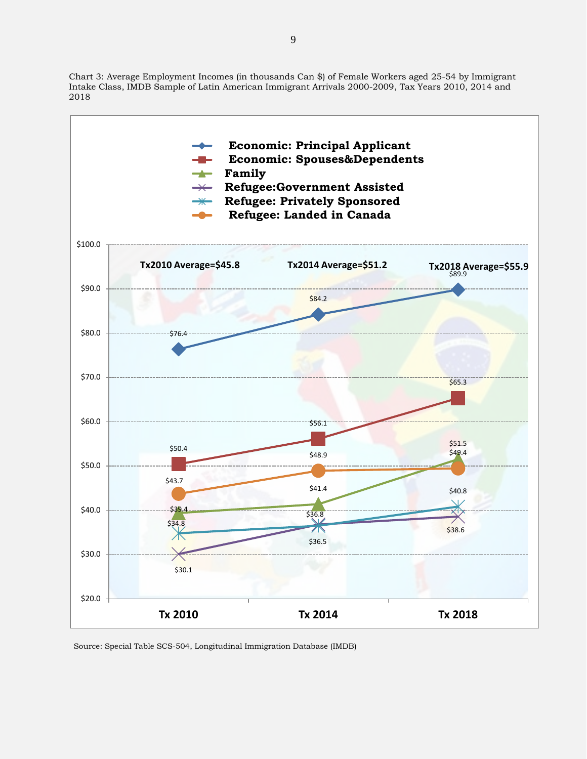Chart 3: Average Employment Incomes (in thousands Can \$) of Female Workers aged 25-54 by Immigrant Intake Class, IMDB Sample of Latin American Immigrant Arrivals 2000-2009, Tax Years 2010, 2014 and 2018



Source: Special Table SCS-504, Longitudinal Immigration Database (IMDB)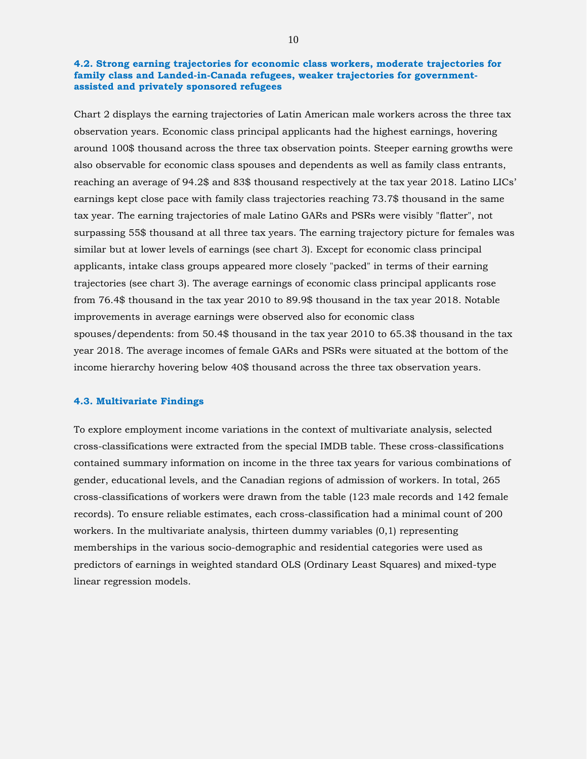### **4.2. Strong earning trajectories for economic class workers, moderate trajectories for family class and Landed-in-Canada refugees, weaker trajectories for governmentassisted and privately sponsored refugees**

Chart 2 displays the earning trajectories of Latin American male workers across the three tax observation years. Economic class principal applicants had the highest earnings, hovering around 100\$ thousand across the three tax observation points. Steeper earning growths were also observable for economic class spouses and dependents as well as family class entrants, reaching an average of 94.2\$ and 83\$ thousand respectively at the tax year 2018. Latino LICs' earnings kept close pace with family class trajectories reaching 73.7\$ thousand in the same tax year. The earning trajectories of male Latino GARs and PSRs were visibly "flatter", not surpassing 55\$ thousand at all three tax years. The earning trajectory picture for females was similar but at lower levels of earnings (see chart 3). Except for economic class principal applicants, intake class groups appeared more closely "packed" in terms of their earning trajectories (see chart 3). The average earnings of economic class principal applicants rose from 76.4\$ thousand in the tax year 2010 to 89.9\$ thousand in the tax year 2018. Notable improvements in average earnings were observed also for economic class spouses/dependents: from 50.4\$ thousand in the tax year 2010 to 65.3\$ thousand in the tax year 2018. The average incomes of female GARs and PSRs were situated at the bottom of the income hierarchy hovering below 40\$ thousand across the three tax observation years.

#### **4.3. Multivariate Findings**

To explore employment income variations in the context of multivariate analysis, selected cross-classifications were extracted from the special IMDB table. These cross-classifications contained summary information on income in the three tax years for various combinations of gender, educational levels, and the Canadian regions of admission of workers. In total, 265 cross-classifications of workers were drawn from the table (123 male records and 142 female records). To ensure reliable estimates, each cross-classification had a minimal count of 200 workers. In the multivariate analysis, thirteen dummy variables (0,1) representing memberships in the various socio-demographic and residential categories were used as predictors of earnings in weighted standard OLS (Ordinary Least Squares) and mixed-type linear regression models.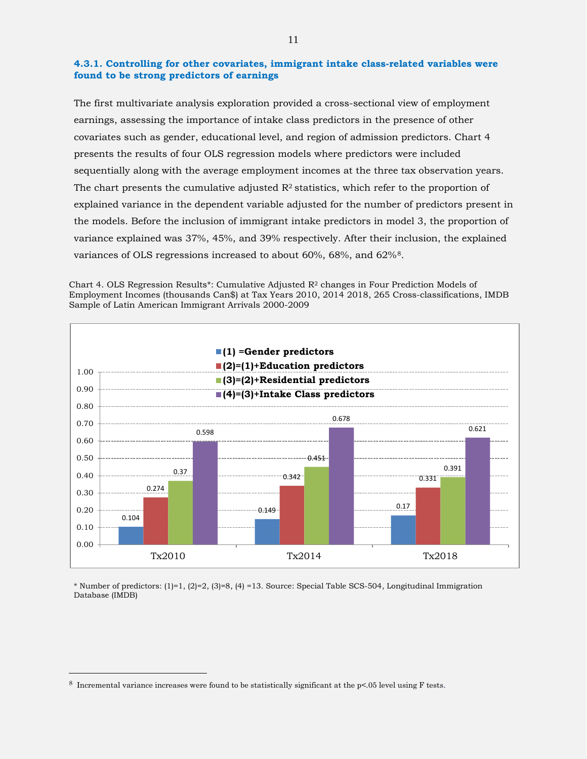#### **4.3.1. Controlling for other covariates, immigrant intake class-related variables were found to be strong predictors of earnings**

The first multivariate analysis exploration provided a cross-sectional view of employment earnings, assessing the importance of intake class predictors in the presence of other covariates such as gender, educational level, and region of admission predictors. Chart 4 presents the results of four OLS regression models where predictors were included sequentially along with the average employment incomes at the three tax observation years. The chart presents the cumulative adjusted  $R^2$  statistics, which refer to the proportion of explained variance in the dependent variable adjusted for the number of predictors present in the models. Before the inclusion of immigrant intake predictors in model 3, the proportion of variance explained was 37%, 45%, and 39% respectively. After their inclusion, the explained variances of OLS regressions increased to about 60%, 68%, and 62%[8](#page-10-0).

Chart 4. OLS Regression Results\*: Cumulative Adjusted R2 changes in Four Prediction Models of Employment Incomes (thousands Can\$) at Tax Years 2010, 2014 2018, 265 Cross-classifications, IMDB Sample of Latin American Immigrant Arrivals 2000-2009



\* Number of predictors: (1)=1, (2)=2, (3)=8, (4) =13. Source: Special Table SCS-504, Longitudinal Immigration Database (IMDB)

 $\overline{a}$ 

<span id="page-10-0"></span><sup>8</sup> Incremental variance increases were found to be statistically significant at the p<.05 level using F tests.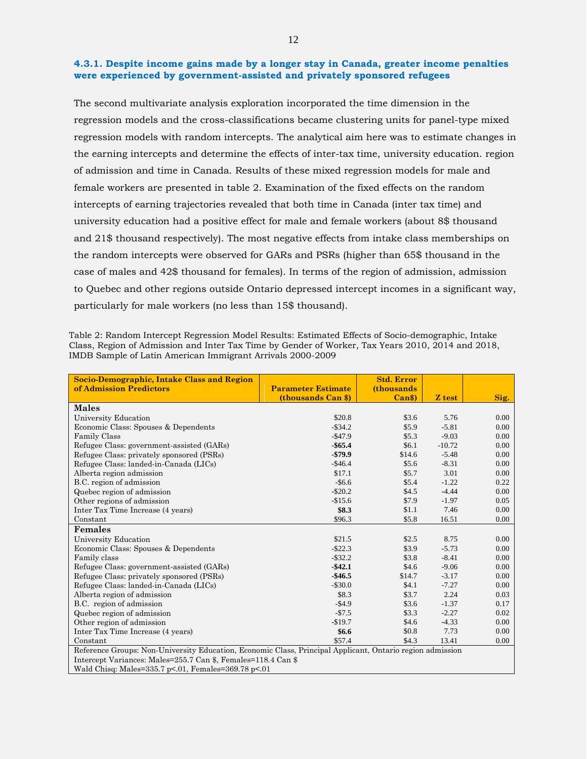#### **4.3.1. Despite income gains made by a longer stay in Canada, greater income penalties were experienced by government-assisted and privately sponsored refugees**

The second multivariate analysis exploration incorporated the time dimension in the regression models and the cross-classifications became clustering units for panel-type mixed regression models with random intercepts. The analytical aim here was to estimate changes in the earning intercepts and determine the effects of inter-tax time, university education. region of admission and time in Canada. Results of these mixed regression models for male and female workers are presented in table 2. Examination of the fixed effects on the random intercepts of earning trajectories revealed that both time in Canada (inter tax time) and university education had a positive effect for male and female workers (about 8\$ thousand and 21\$ thousand respectively). The most negative effects from intake class memberships on the random intercepts were observed for GARs and PSRs (higher than 65\$ thousand in the case of males and 42\$ thousand for females). In terms of the region of admission, admission to Quebec and other regions outside Ontario depressed intercept incomes in a significant way, particularly for male workers (no less than 15\$ thousand).

Table 2: Random Intercept Regression Model Results: Estimated Effects of Socio-demographic, Intake Class, Region of Admission and Inter Tax Time by Gender of Worker, Tax Years 2010, 2014 and 2018, IMDB Sample of Latin American Immigrant Arrivals 2000-2009

| <b>Socio-Demographic, Intake Class and Region</b>                                                         |                           | <b>Std. Error</b>  |          |      |  |  |  |
|-----------------------------------------------------------------------------------------------------------|---------------------------|--------------------|----------|------|--|--|--|
| of Admission Predictors                                                                                   | <b>Parameter Estimate</b> | <i>(thousands)</i> |          |      |  |  |  |
|                                                                                                           | (thousands Can \$)        | Can <sub>3</sub>   | Z test   | Sig. |  |  |  |
| <b>Males</b>                                                                                              |                           |                    |          |      |  |  |  |
| University Education                                                                                      | \$20.8                    | \$3.6              | 5.76     | 0.00 |  |  |  |
| Economic Class: Spouses & Dependents                                                                      | $-$ \$34.2                | \$5.9              | $-5.81$  | 0.00 |  |  |  |
| <b>Family Class</b>                                                                                       | $-$ \$47.9                | \$5.3              | $-9.03$  | 0.00 |  |  |  |
| Refugee Class: government-assisted (GARs)                                                                 | $-$ \$65.4                | \$6.1              | $-10.72$ | 0.00 |  |  |  |
| Refugee Class: privately sponsored (PSRs)                                                                 | $-579.9$                  | \$14.6             | $-5.48$  | 0.00 |  |  |  |
| Refugee Class: landed-in-Canada (LICs)                                                                    | $-$ \$46.4                | \$5.6              | $-8.31$  | 0.00 |  |  |  |
| Alberta region admission                                                                                  | \$17.1                    | \$5.7              | 3.01     | 0.00 |  |  |  |
| B.C. region of admission                                                                                  | $-$6.6$                   | \$5.4              | $-1.22$  | 0.22 |  |  |  |
| Quebec region of admission                                                                                | $-$20.2$                  | \$4.5              | $-4.44$  | 0.00 |  |  |  |
| Other regions of admission                                                                                | $-$15.6$                  | \$7.9              | $-1.97$  | 0.05 |  |  |  |
| Inter Tax Time Increase (4 years)                                                                         | \$8.3                     | \$1.1              | 7.46     | 0.00 |  |  |  |
| Constant                                                                                                  | \$96.3                    | \$5.8\$            | 16.51    | 0.00 |  |  |  |
| <b>Females</b>                                                                                            |                           |                    |          |      |  |  |  |
| University Education                                                                                      | \$21.5                    | \$2.5              | 8.75     | 0.00 |  |  |  |
| Economic Class: Spouses & Dependents                                                                      | $-$ \$22.3                | \$3.9              | $-5.73$  | 0.00 |  |  |  |
| Family class                                                                                              | $-$ \$32.2                | \$3.8              | $-8.41$  | 0.00 |  |  |  |
| Refugee Class: government-assisted (GARs)                                                                 | $-$ \$42.1                | \$4.6              | $-9.06$  | 0.00 |  |  |  |
| Refugee Class: privately sponsored (PSRs)                                                                 | $-$46.5$                  | \$14.7             | $-3.17$  | 0.00 |  |  |  |
| Refugee Class: landed-in-Canada (LICs)                                                                    | $-$ \$30.0                | \$4.1              | $-7.27$  | 0.00 |  |  |  |
| Alberta region of admission                                                                               | \$8.3                     | \$3.7              | 2.24     | 0.03 |  |  |  |
| B.C. region of admission                                                                                  | $-$4.9$                   | \$3.6              | $-1.37$  | 0.17 |  |  |  |
| Quebec region of admission                                                                                | $-$7.5$                   | \$3.3              | $-2.27$  | 0.02 |  |  |  |
| Other region of admission                                                                                 | $-$19.7$                  | \$4.6              | $-4.33$  | 0.00 |  |  |  |
| Inter Tax Time Increase (4 years)                                                                         | \$6.6                     | \$0.8              | 7.73     | 0.00 |  |  |  |
| Constant                                                                                                  | \$57.4                    | \$4.3              | 13.41    | 0.00 |  |  |  |
| Reference Groups: Non-University Education, Economic Class, Principal Applicant, Ontario region admission |                           |                    |          |      |  |  |  |
| Intercept Variances: Males=255.7 Can \$, Females=118.4 Can \$                                             |                           |                    |          |      |  |  |  |

Wald Chisq: Males=335.7 p<.01, Females=369.78 p<.01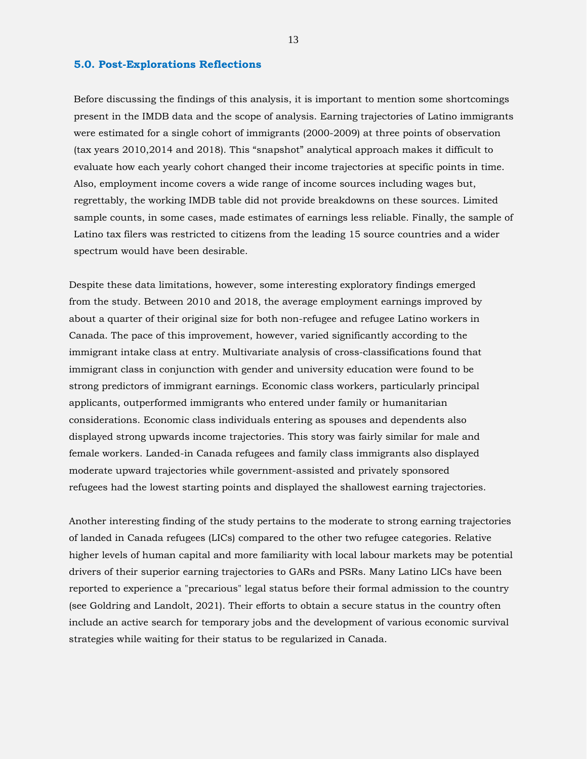#### **5.0. Post-Explorations Reflections**

Before discussing the findings of this analysis, it is important to mention some shortcomings present in the IMDB data and the scope of analysis. Earning trajectories of Latino immigrants were estimated for a single cohort of immigrants (2000-2009) at three points of observation (tax years 2010,2014 and 2018). This "snapshot" analytical approach makes it difficult to evaluate how each yearly cohort changed their income trajectories at specific points in time. Also, employment income covers a wide range of income sources including wages but, regrettably, the working IMDB table did not provide breakdowns on these sources. Limited sample counts, in some cases, made estimates of earnings less reliable. Finally, the sample of Latino tax filers was restricted to citizens from the leading 15 source countries and a wider spectrum would have been desirable.

Despite these data limitations, however, some interesting exploratory findings emerged from the study. Between 2010 and 2018, the average employment earnings improved by about a quarter of their original size for both non-refugee and refugee Latino workers in Canada. The pace of this improvement, however, varied significantly according to the immigrant intake class at entry. Multivariate analysis of cross-classifications found that immigrant class in conjunction with gender and university education were found to be strong predictors of immigrant earnings. Economic class workers, particularly principal applicants, outperformed immigrants who entered under family or humanitarian considerations. Economic class individuals entering as spouses and dependents also displayed strong upwards income trajectories. This story was fairly similar for male and female workers. Landed-in Canada refugees and family class immigrants also displayed moderate upward trajectories while government-assisted and privately sponsored refugees had the lowest starting points and displayed the shallowest earning trajectories.

Another interesting finding of the study pertains to the moderate to strong earning trajectories of landed in Canada refugees (LICs) compared to the other two refugee categories. Relative higher levels of human capital and more familiarity with local labour markets may be potential drivers of their superior earning trajectories to GARs and PSRs. Many Latino LICs have been reported to experience a "precarious" legal status before their formal admission to the country (see Goldring and Landolt, 2021). Their efforts to obtain a secure status in the country often include an active search for temporary jobs and the development of various economic survival strategies while waiting for their status to be regularized in Canada.

13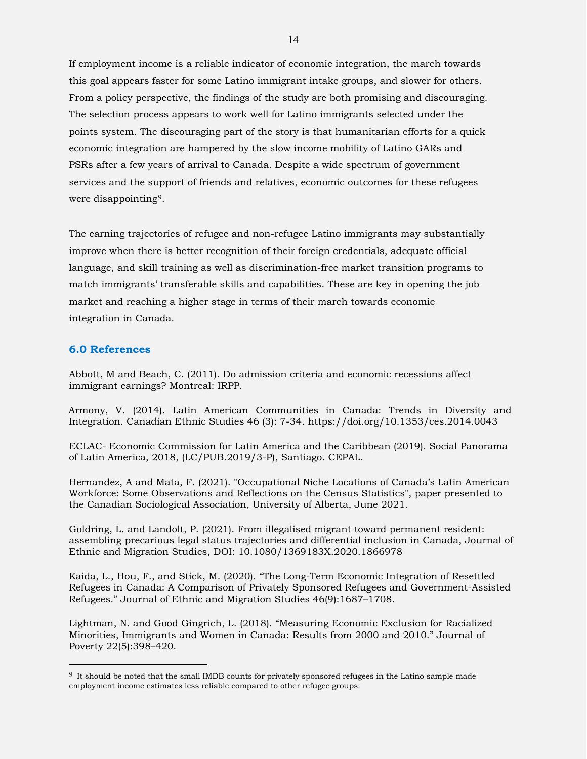If employment income is a reliable indicator of economic integration, the march towards this goal appears faster for some Latino immigrant intake groups, and slower for others. From a policy perspective, the findings of the study are both promising and discouraging. The selection process appears to work well for Latino immigrants selected under the points system. The discouraging part of the story is that humanitarian efforts for a quick economic integration are hampered by the slow income mobility of Latino GARs and PSRs after a few years of arrival to Canada. Despite a wide spectrum of government services and the support of friends and relatives, economic outcomes for these refugees were disappointing[9.](#page-13-0)

The earning trajectories of refugee and non-refugee Latino immigrants may substantially improve when there is better recognition of their foreign credentials, adequate official language, and skill training as well as discrimination-free market transition programs to match immigrants' transferable skills and capabilities. These are key in opening the job market and reaching a higher stage in terms of their march towards economic integration in Canada.

## **6.0 References**

 $\overline{a}$ 

Abbott, M and Beach, C. (2011). Do admission criteria and economic recessions affect immigrant earnings? Montreal: IRPP.

Armony, V. (2014). Latin American Communities in Canada: Trends in Diversity and Integration. Canadian Ethnic Studies 46 (3): 7-34. https://doi.org/10.1353/ces.2014.0043

ECLAC- Economic Commission for Latin America and the Caribbean (2019). Social Panorama of Latin America, 2018, (LC/PUB.2019/3-P), Santiago. CEPAL.

Hernandez, A and Mata, F. (2021). "Occupational Niche Locations of Canada's Latin American Workforce: Some Observations and Reflections on the Census Statistics", paper presented to the Canadian Sociological Association, University of Alberta, June 2021.

Goldring, L. and Landolt, P. (2021). From illegalised migrant toward permanent resident: assembling precarious legal status trajectories and differential inclusion in Canada, Journal of Ethnic and Migration Studies, DOI: 10.1080/1369183X.2020.1866978

Kaida, L., Hou, F., and Stick, M. (2020). "The Long-Term Economic Integration of Resettled Refugees in Canada: A Comparison of Privately Sponsored Refugees and Government-Assisted Refugees." Journal of Ethnic and Migration Studies 46(9):1687–1708.

Lightman, N. and Good Gingrich, L. (2018). "Measuring Economic Exclusion for Racialized Minorities, Immigrants and Women in Canada: Results from 2000 and 2010." Journal of Poverty 22(5):398–420.

<span id="page-13-0"></span><sup>9</sup> It should be noted that the small IMDB counts for privately sponsored refugees in the Latino sample made employment income estimates less reliable compared to other refugee groups.